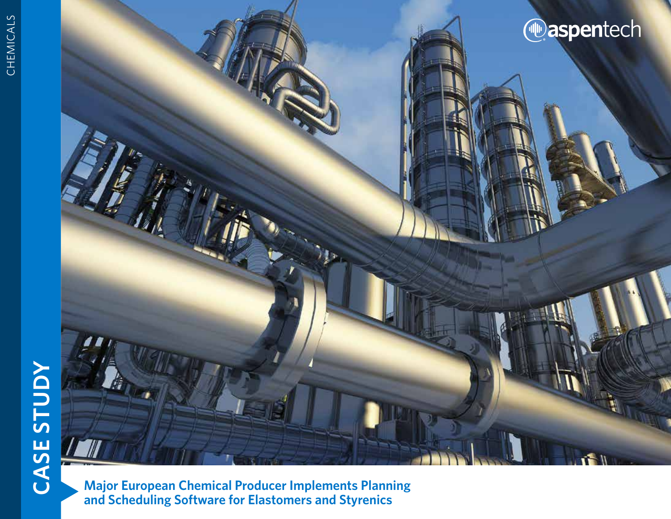# **CASE STUDY CASE STUDY**



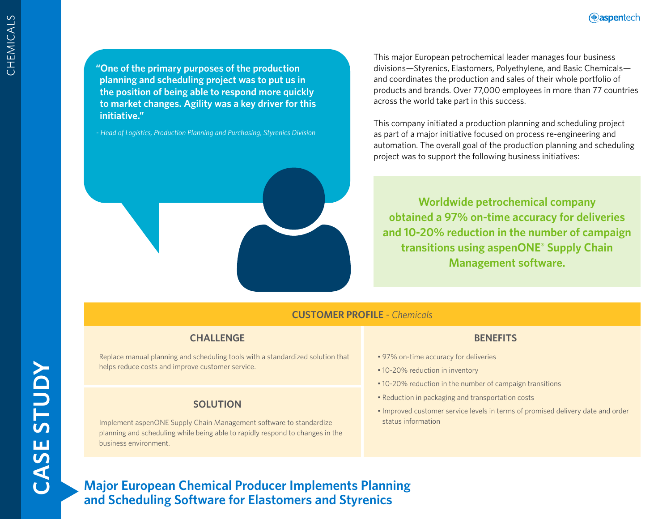**"One of the primary purposes of the production planning and scheduling project was to put us in the position of being able to respond more quickly to market changes. Agility was a key driver for this initiative."** 

*- Head of Logistics, Production Planning and Purchasing, Styrenics Division*



This company initiated a production planning and scheduling project as part of a major initiative focused on process re-engineering and automation. The overall goal of the production planning and scheduling project was to support the following business initiatives:

**Worldwide petrochemical company obtained a 97% on-time accuracy for deliveries and 10-20% reduction in the number of campaign transitions using aspenONE® Supply Chain Management software.**

## **CUSTOMER PROFILE** - *Chemicals*

# **CHALLENGE**

Replace manual planning and scheduling tools with a standardized solution that helps reduce costs and improve customer service.

#### **SOLUTION**

Implement aspenONE Supply Chain Management software to standardize planning and scheduling while being able to rapidly respond to changes in the business environment.

#### **BENEFITS**

- 97% on-time accuracy for deliveries
- 10-20% reduction in inventory
- 10-20% reduction in the number of campaign transitions
- Reduction in packaging and transportation costs
- Improved customer service levels in terms of promised delivery date and order status information

**Major European Chemical Producer Implements Planning and Scheduling Software for Elastomers and Styrenics**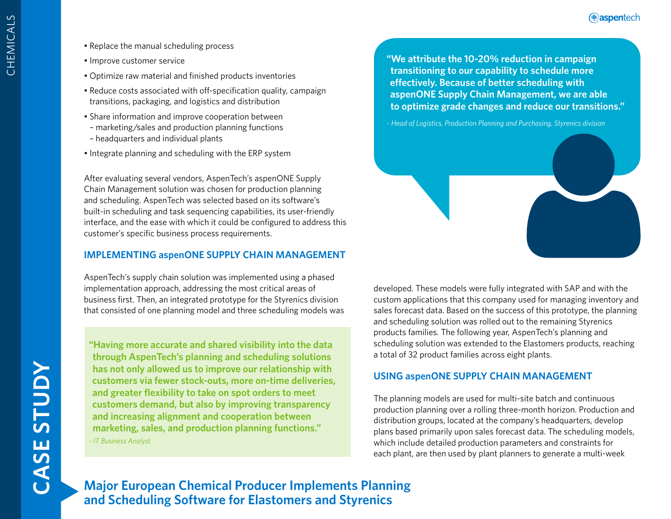- Replace the manual scheduling process
- Improve customer service
- Optimize raw material and finished products inventories
- Reduce costs associated with off-specification quality, campaign transitions, packaging, and logistics and distribution
- Share information and improve cooperation between
- marketing/sales and production planning functions
- headquarters and individual plants
- Integrate planning and scheduling with the ERP system

After evaluating several vendors, AspenTech's aspenONE Supply Chain Management solution was chosen for production planning and scheduling. AspenTech was selected based on its software's built-in scheduling and task sequencing capabilities, its user-friendly interface, and the ease with which it could be configured to address this customer's specific business process requirements.

## **IMPLEMENTING aspenONE SUPPLY CHAIN MANAGEMENT**

AspenTech's supply chain solution was implemented using a phased implementation approach, addressing the most critical areas of business first. Then, an integrated prototype for the Styrenics division that consisted of one planning model and three scheduling models was

**"Having more accurate and shared visibility into the data through AspenTech's planning and scheduling solutions has not only allowed us to improve our relationship with customers via fewer stock-outs, more on-time deliveries, and greater flexibility to take on spot orders to meet customers demand, but also by improving transparency and increasing alignment and cooperation between marketing, sales, and production planning functions."**

*- IT Business Analyst*

**"We attribute the 10-20% reduction in campaign transitioning to our capability to schedule more effectively. Because of better scheduling with aspenONE Supply Chain Management, we are able to optimize grade changes and reduce our transitions."** 



developed. These models were fully integrated with SAP and with the custom applications that this company used for managing inventory and sales forecast data. Based on the success of this prototype, the planning and scheduling solution was rolled out to the remaining Styrenics products families. The following year, AspenTech's planning and scheduling solution was extended to the Elastomers products, reaching a total of 32 product families across eight plants.

# **USING aspenONE SUPPLY CHAIN MANAGEMENT**

The planning models are used for multi-site batch and continuous production planning over a rolling three-month horizon. Production and distribution groups, located at the company's headquarters, develop plans based primarily upon sales forecast data. The scheduling models, which include detailed production parameters and constraints for each plant, are then used by plant planners to generate a multi-week

**Major European Chemical Producer Implements Planning and Scheduling Software for Elastomers and Styrenics**

CHEMICALS

CHEMICALS